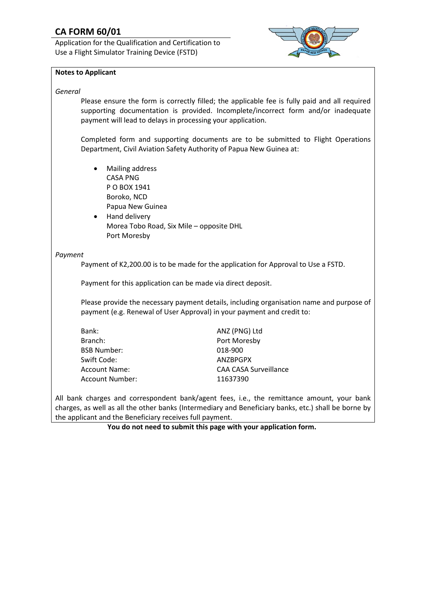# **CA FORM 60/01**

Application for the Qualification and Certification to Use a Flight Simulator Training Device (FSTD)



#### **Notes to Applicant**

#### *General*

Please ensure the form is correctly filled; the applicable fee is fully paid and all required supporting documentation is provided. Incomplete/incorrect form and/or inadequate payment will lead to delays in processing your application.

Completed form and supporting documents are to be submitted to Flight Operations Department, Civil Aviation Safety Authority of Papua New Guinea at:

- Mailing address CASA PNG P O BOX 1941 Boroko, NCD Papua New Guinea
- Hand delivery Morea Tobo Road, Six Mile – opposite DHL Port Moresby

#### *Payment*

Payment of K2,200.00 is to be made for the application for Approval to Use a FSTD.

Payment for this application can be made via direct deposit.

Please provide the necessary payment details, including organisation name and purpose of payment (e.g. Renewal of User Approval) in your payment and credit to:

| Bank:                | ANZ (PNG) Ltd                |
|----------------------|------------------------------|
| Branch:              | Port Moresby                 |
| <b>BSB Number:</b>   | 018-900                      |
| Swift Code:          | <b>ANZBPGPX</b>              |
| <b>Account Name:</b> | <b>CAA CASA Surveillance</b> |
| Account Number:      | 11637390                     |

All bank charges and correspondent bank/agent fees, i.e., the remittance amount, your bank charges, as well as all the other banks (Intermediary and Beneficiary banks, etc.) shall be borne by the applicant and the Beneficiary receives full payment.

**You do not need to submit this page with your application form.**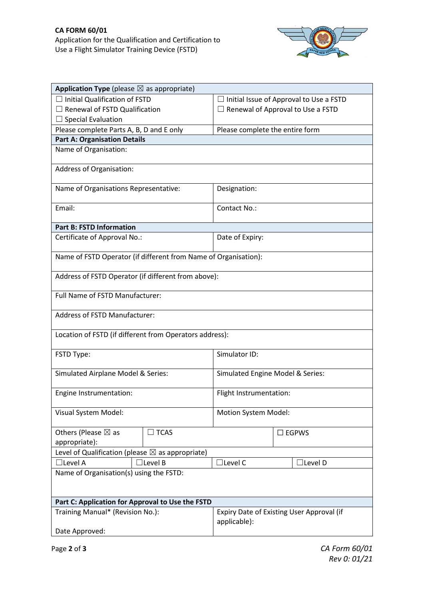

| <b>Application Type</b> (please $\boxtimes$ as appropriate)            |                                                |  |
|------------------------------------------------------------------------|------------------------------------------------|--|
| $\Box$ Initial Qualification of FSTD                                   | $\Box$ Initial Issue of Approval to Use a FSTD |  |
| $\Box$ Renewal of FSTD Qualification                                   | $\Box$ Renewal of Approval to Use a FSTD       |  |
| $\Box$ Special Evaluation                                              |                                                |  |
| Please complete Parts A, B, D and E only                               | Please complete the entire form                |  |
| <b>Part A: Organisation Details</b>                                    |                                                |  |
| Name of Organisation:                                                  |                                                |  |
| Address of Organisation:                                               |                                                |  |
| Name of Organisations Representative:                                  | Designation:                                   |  |
| Email:                                                                 | Contact No.:                                   |  |
| <b>Part B: FSTD Information</b>                                        |                                                |  |
| Certificate of Approval No.:                                           | Date of Expiry:                                |  |
| Name of FSTD Operator (if different from Name of Organisation):        |                                                |  |
|                                                                        |                                                |  |
| Address of FSTD Operator (if different from above):                    |                                                |  |
| Full Name of FSTD Manufacturer:                                        |                                                |  |
| <b>Address of FSTD Manufacturer:</b>                                   |                                                |  |
| Location of FSTD (if different from Operators address):                |                                                |  |
| FSTD Type:                                                             | Simulator ID:                                  |  |
| Simulated Airplane Model & Series:<br>Simulated Engine Model & Series: |                                                |  |
| Engine Instrumentation:                                                | Flight Instrumentation:                        |  |
| Visual System Model:                                                   | Motion System Model:                           |  |
| Others (Please $\boxtimes$ as<br>$\sqsupset$ TCAS                      | $\square$ EGPWS                                |  |
| appropriate):                                                          |                                                |  |
| Level of Qualification (please $\boxtimes$ as appropriate)             |                                                |  |
| $\Box$ Level B<br>$\Box$ Level A                                       | $\Box$ Level C<br>$\Box$ Level D               |  |
| Name of Organisation(s) using the FSTD:                                |                                                |  |
| Part C: Application for Approval to Use the FSTD                       |                                                |  |
| Training Manual* (Revision No.):                                       | Expiry Date of Existing User Approval (if      |  |
|                                                                        | applicable):                                   |  |
| Date Approved:                                                         |                                                |  |